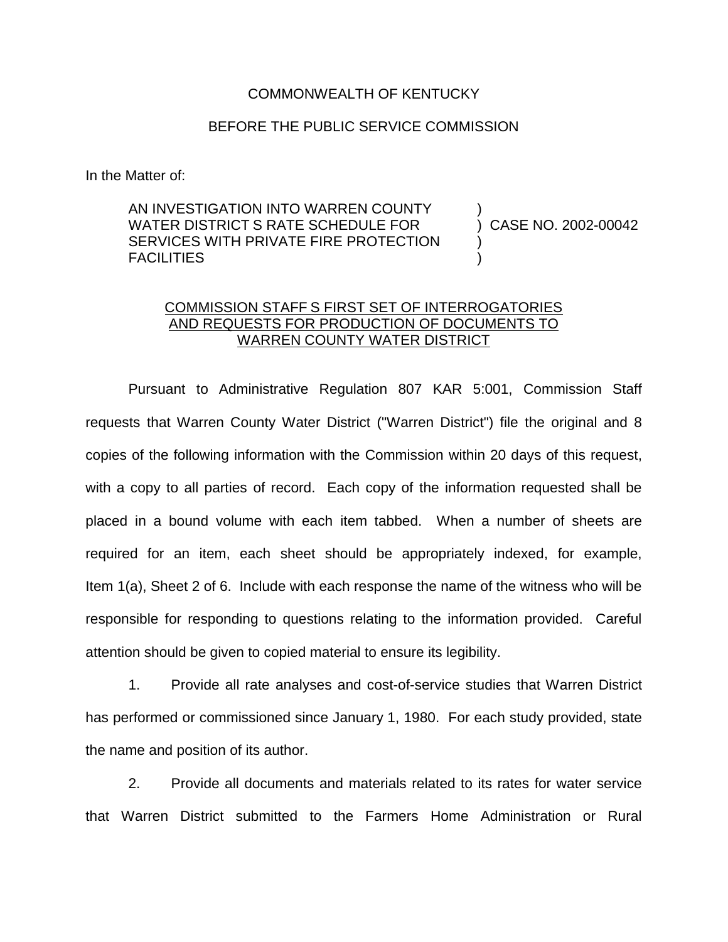## COMMONWEALTH OF KENTUCKY

## BEFORE THE PUBLIC SERVICE COMMISSION

In the Matter of:

AN INVESTIGATION INTO WARREN COUNTY WATER DISTRICT S RATE SCHEDULE FOR SERVICES WITH PRIVATE FIRE PROTECTION FACILITIES

) CASE NO. 2002-00042

)

) )

## COMMISSION STAFF S FIRST SET OF INTERROGATORIES AND REQUESTS FOR PRODUCTION OF DOCUMENTS TO WARREN COUNTY WATER DISTRICT

Pursuant to Administrative Regulation 807 KAR 5:001, Commission Staff requests that Warren County Water District ("Warren District") file the original and 8 copies of the following information with the Commission within 20 days of this request, with a copy to all parties of record. Each copy of the information requested shall be placed in a bound volume with each item tabbed. When a number of sheets are required for an item, each sheet should be appropriately indexed, for example, Item 1(a), Sheet 2 of 6. Include with each response the name of the witness who will be responsible for responding to questions relating to the information provided. Careful attention should be given to copied material to ensure its legibility.

1. Provide all rate analyses and cost-of-service studies that Warren District has performed or commissioned since January 1, 1980. For each study provided, state the name and position of its author.

2. Provide all documents and materials related to its rates for water service that Warren District submitted to the Farmers Home Administration or Rural